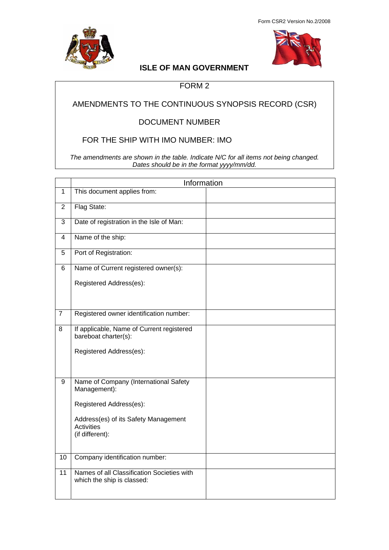



# **ISLE OF MAN GOVERNMENT**

### FORM 2

## AMENDMENTS TO THE CONTINUOUS SYNOPSIS RECORD (CSR)

### DOCUMENT NUMBER

### FOR THE SHIP WITH IMO NUMBER: IMO

*The amendments are shown in the table. Indicate N/C for all items not being changed. Dates should be in the format yyyy/mm/dd.*

|                 | Information                                                              |  |
|-----------------|--------------------------------------------------------------------------|--|
| $\mathbf{1}$    | This document applies from:                                              |  |
| $\overline{2}$  | Flag State:                                                              |  |
| $\overline{3}$  | Date of registration in the Isle of Man:                                 |  |
| $\overline{4}$  | Name of the ship:                                                        |  |
| 5               | Port of Registration:                                                    |  |
| 6               | Name of Current registered owner(s):                                     |  |
|                 | Registered Address(es):                                                  |  |
|                 |                                                                          |  |
| $\overline{7}$  | Registered owner identification number:                                  |  |
| 8               | If applicable, Name of Current registered<br>bareboat charter(s):        |  |
|                 | Registered Address(es):                                                  |  |
|                 |                                                                          |  |
| $\overline{9}$  | Name of Company (International Safety<br>Management):                    |  |
|                 | Registered Address(es):                                                  |  |
|                 | Address(es) of its Safety Management<br><b>Activities</b>                |  |
|                 | (if different):                                                          |  |
| 10              | Company identification number:                                           |  |
| $\overline{11}$ | Names of all Classification Societies with<br>which the ship is classed: |  |
|                 |                                                                          |  |